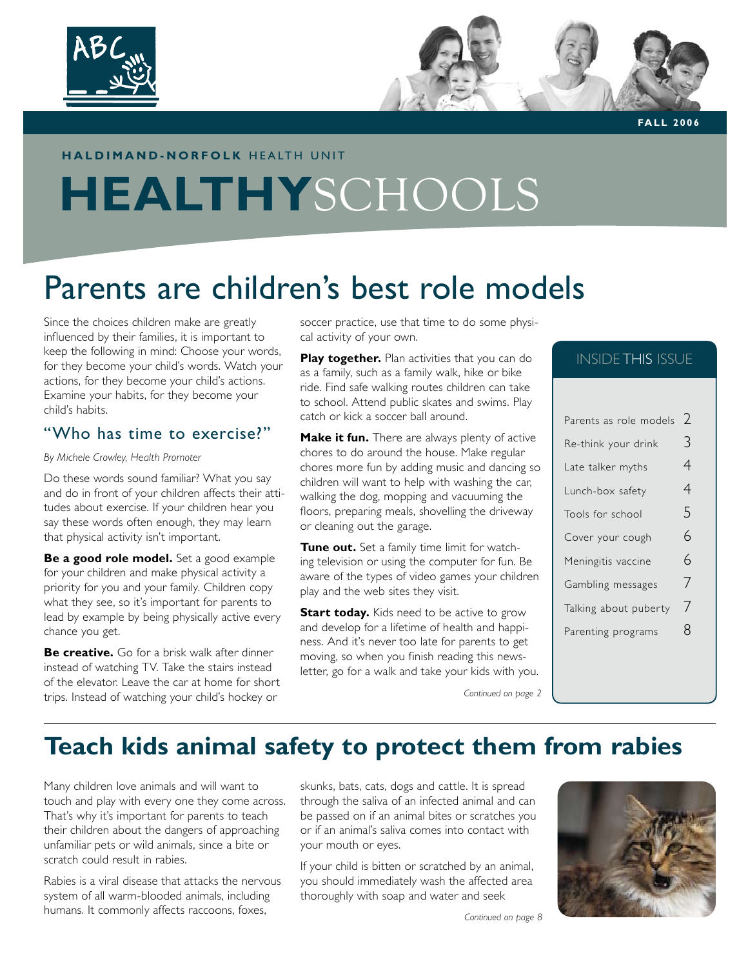

**FA L L 2 0 0 6**

### **HALDIMAND-NORFOLK HEALTH UNIT**

# **HEALTHY**SCHOOLS

# Parents are children's best role models

Since the choices children make are greatly influenced by their families, it is important to keep the following in mind: Choose your words, for they become your child's words. Watch your actions, for they become your child's actions. Examine your habits, for they become your child's habits.

### "Who has time to exercise?"

*By Michele Crowley, Health Promoter*

Do these words sound familiar? What you say and do in front of your children affects their attitudes about exercise. If your children hear you say these words often enough, they may learn that physical activity isn't important.

**Be a good role model.** Set a good example for your children and make physical activity a priority for you and your family. Children copy what they see, so it's important for parents to lead by example by being physically active every chance you get.

**Be creative.** Go for a brisk walk after dinner instead of watching TV. Take the stairs instead of the elevator. Leave the car at home for short trips. Instead of watching your child's hockey or

soccer practice, use that time to do some physical activity of your own.

**Play together.** Plan activities that you can do as a family, such as a family walk, hike or bike ride. Find safe walking routes children can take to school. Attend public skates and swims. Play catch or kick a soccer ball around.

**Make it fun.** There are always plenty of active chores to do around the house. Make regular chores more fun by adding music and dancing so children will want to help with washing the car, walking the dog, mopping and vacuuming the floors, preparing meals, shovelling the driveway or cleaning out the garage.

**Tune out.** Set a family time limit for watching television or using the computer for fun. Be aware of the types of video games your children play and the web sites they visit.

**Start today.** Kids need to be active to grow and develop for a lifetime of health and happiness. And it's never too late for parents to get moving, so when you finish reading this newsletter, go for a walk and take your kids with you.

*Continued on page 2*

### INSIDE THIS ISSUE

| Parents as role models | ) |
|------------------------|---|
| Re-think your drink    | 3 |
| Late talker myths      | 4 |
| Lunch-box safety       | 4 |
| Tools for school       | 5 |
| Cover your cough       | 6 |
| Meningitis vaccine     | 6 |
| Gambling messages      | 7 |
| Talking about puberty  | 7 |
| Parenting programs     | 8 |
|                        |   |

# **Teach kids animal safety to protect them from rabies**

Many children love animals and will want to touch and play with every one they come across. That's why it's important for parents to teach their children about the dangers of approaching unfamiliar pets or wild animals, since a bite or scratch could result in rabies.

Rabies is a viral disease that attacks the nervous system of all warm-blooded animals, including humans. It commonly affects raccoons, foxes,

skunks, bats, cats, dogs and cattle. It is spread through the saliva of an infected animal and can be passed on if an animal bites or scratches you or if an animal's saliva comes into contact with your mouth or eyes.

If your child is bitten or scratched by an animal, you should immediately wash the affected area thoroughly with soap and water and seek

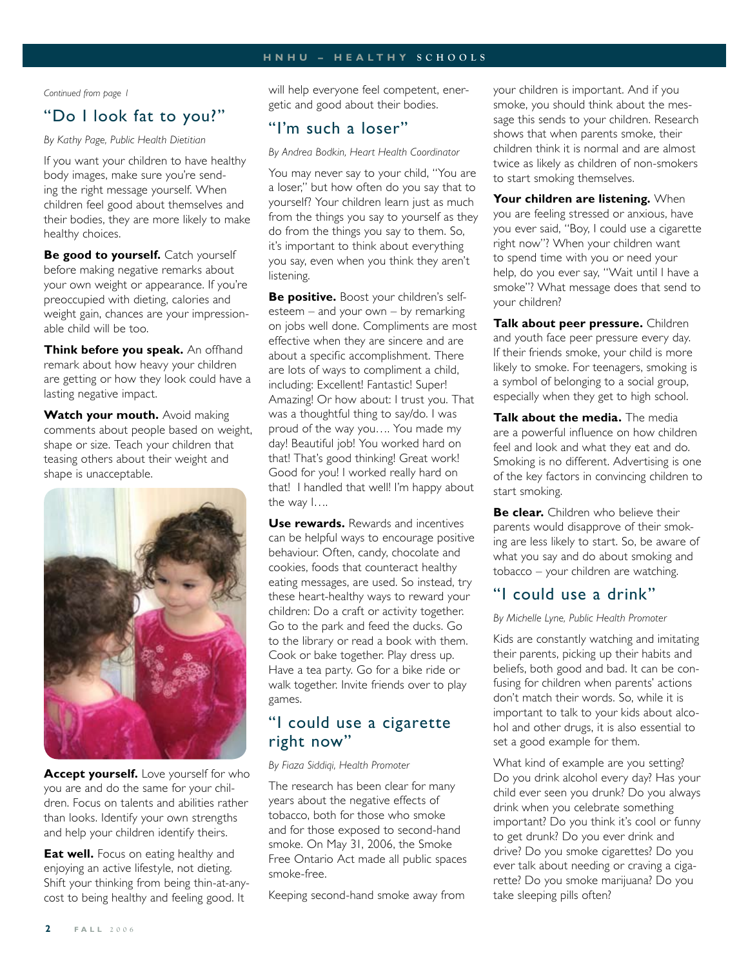#### **H N H U – H E A L T H Y S C H O O L S**

 *Continued from page 1*

### "Do I look fat to you?"

*By Kathy Page, Public Health Dietitian*

If you want your children to have healthy body images, make sure you're sending the right message yourself. When children feel good about themselves and their bodies, they are more likely to make healthy choices.

**Be good to yourself.** Catch yourself before making negative remarks about your own weight or appearance. If you're preoccupied with dieting, calories and weight gain, chances are your impressionable child will be too.

**Think before you speak.** An offhand remark about how heavy your children are getting or how they look could have a lasting negative impact.

**Watch your mouth.** Avoid making comments about people based on weight, shape or size. Teach your children that teasing others about their weight and shape is unacceptable.



**Accept yourself.** Love yourself for who you are and do the same for your children. Focus on talents and abilities rather than looks. Identify your own strengths and help your children identify theirs.

**Eat well.** Focus on eating healthy and enjoying an active lifestyle, not dieting. Shift your thinking from being thin-at-anycost to being healthy and feeling good. It

will help everyone feel competent, energetic and good about their bodies.

### "I'm such a loser"

*By Andrea Bodkin, Heart Health Coordinator*

You may never say to your child, "You are a loser," but how often do you say that to yourself? Your children learn just as much from the things you say to yourself as they do from the things you say to them. So, it's important to think about everything you say, even when you think they aren't listening.

**Be positive.** Boost your children's selfesteem – and your own – by remarking on jobs well done. Compliments are most effective when they are sincere and are about a specific accomplishment. There are lots of ways to compliment a child, including: Excellent! Fantastic! Super! Amazing! Or how about: I trust you. That was a thoughtful thing to say/do. I was proud of the way you…. You made my day! Beautiful job! You worked hard on that! That's good thinking! Great work! Good for you! I worked really hard on that! I handled that well! I'm happy about the way I….

**Use rewards.** Rewards and incentives can be helpful ways to encourage positive behaviour. Often, candy, chocolate and cookies, foods that counteract healthy eating messages, are used. So instead, try these heart-healthy ways to reward your children: Do a craft or activity together. Go to the park and feed the ducks. Go to the library or read a book with them. Cook or bake together. Play dress up. Have a tea party. Go for a bike ride or walk together. Invite friends over to play games.

### "I could use a cigarette right now"

*By Fiaza Siddiqi, Health Promoter*

The research has been clear for many years about the negative effects of tobacco, both for those who smoke and for those exposed to second-hand smoke. On May 31, 2006, the Smoke Free Ontario Act made all public spaces smoke-free.

Keeping second-hand smoke away from

your children is important. And if you smoke, you should think about the message this sends to your children. Research shows that when parents smoke, their children think it is normal and are almost twice as likely as children of non-smokers to start smoking themselves.

**Your children are listening.** When you are feeling stressed or anxious, have you ever said, "Boy, I could use a cigarette right now"? When your children want to spend time with you or need your help, do you ever say, "Wait until I have a smoke"? What message does that send to your children?

**Talk about peer pressure.** Children and youth face peer pressure every day. If their friends smoke, your child is more likely to smoke. For teenagers, smoking is a symbol of belonging to a social group, especially when they get to high school.

**Talk about the media.** The media are a powerful influence on how children feel and look and what they eat and do. Smoking is no different. Advertising is one of the key factors in convincing children to start smoking.

**Be clear.** Children who believe their parents would disapprove of their smoking are less likely to start. So, be aware of what you say and do about smoking and tobacco – your children are watching.

### "I could use a drink"

*By Michelle Lyne, Public Health Promoter*

Kids are constantly watching and imitating their parents, picking up their habits and beliefs, both good and bad. It can be confusing for children when parents' actions don't match their words. So, while it is important to talk to your kids about alcohol and other drugs, it is also essential to set a good example for them.

What kind of example are you setting? Do you drink alcohol every day? Has your child ever seen you drunk? Do you always drink when you celebrate something important? Do you think it's cool or funny to get drunk? Do you ever drink and drive? Do you smoke cigarettes? Do you ever talk about needing or craving a cigarette? Do you smoke marijuana? Do you take sleeping pills often?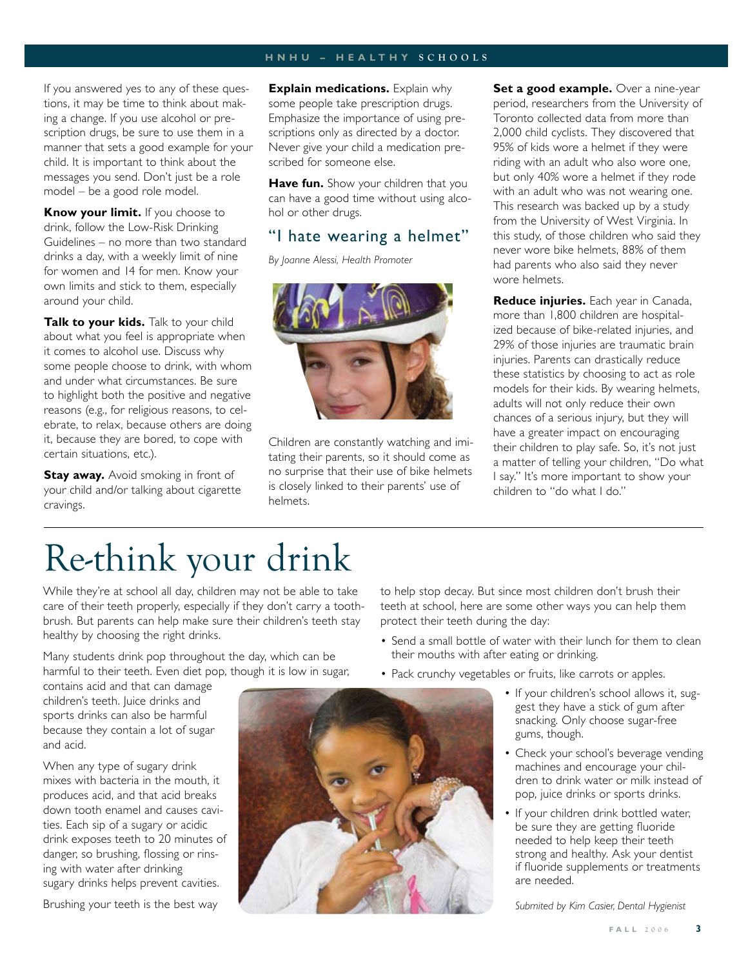#### **H N H U – H E A L T H Y S C H O O L S**

If you answered yes to any of these questions, it may be time to think about making a change. If you use alcohol or prescription drugs, be sure to use them in a manner that sets a good example for your child. It is important to think about the messages you send. Don't just be a role model – be a good role model.

**Know your limit.** If you choose to drink, follow the Low-Risk Drinking Guidelines – no more than two standard drinks a day, with a weekly limit of nine for women and 14 for men. Know your own limits and stick to them, especially around your child.

**Talk to your kids.** Talk to your child about what you feel is appropriate when it comes to alcohol use. Discuss why some people choose to drink, with whom and under what circumstances. Be sure to highlight both the positive and negative reasons (e.g., for religious reasons, to celebrate, to relax, because others are doing it, because they are bored, to cope with certain situations, etc.).

**Stay away.** Avoid smoking in front of your child and/or talking about cigarette cravings.

**Explain medications.** Explain why some people take prescription drugs. Emphasize the importance of using prescriptions only as directed by a doctor. Never give your child a medication prescribed for someone else.

**Have fun.** Show your children that you can have a good time without using alcohol or other drugs.

## "I hate wearing a helmet"

*By Joanne Alessi, Health Promoter*



Children are constantly watching and imitating their parents, so it should come as no surprise that their use of bike helmets is closely linked to their parents' use of helmets.

**Set a good example.** Over a nine-year period, researchers from the University of Toronto collected data from more than 2,000 child cyclists. They discovered that 95% of kids wore a helmet if they were riding with an adult who also wore one, but only 40% wore a helmet if they rode with an adult who was not wearing one. This research was backed up by a study from the University of West Virginia. In this study, of those children who said they never wore bike helmets, 88% of them had parents who also said they never wore helmets.

**Reduce injuries.** Each year in Canada, more than 1,800 children are hospitalized because of bike-related injuries, and 29% of those injuries are traumatic brain injuries. Parents can drastically reduce these statistics by choosing to act as role models for their kids. By wearing helmets, adults will not only reduce their own chances of a serious injury, but they will have a greater impact on encouraging their children to play safe. So, it's not just a matter of telling your children, "Do what I say." It's more important to show your children to "do what I do."

# Re-think your drink

While they're at school all day, children may not be able to take care of their teeth properly, especially if they don't carry a toothbrush. But parents can help make sure their children's teeth stay healthy by choosing the right drinks.

Many students drink pop throughout the day, which can be harmful to their teeth. Even diet pop, though it is low in sugar,

contains acid and that can damage children's teeth. Juice drinks and sports drinks can also be harmful because they contain a lot of sugar and acid.

When any type of sugary drink mixes with bacteria in the mouth, it produces acid, and that acid breaks down tooth enamel and causes cavities. Each sip of a sugary or acidic drink exposes teeth to 20 minutes of danger, so brushing, flossing or rinsing with water after drinking sugary drinks helps prevent cavities.

Brushing your teeth is the best way

to help stop decay. But since most children don't brush their teeth at school, here are some other ways you can help them protect their teeth during the day:

- Send a small bottle of water with their lunch for them to clean their mouths with after eating or drinking.
- Pack crunchy vegetables or fruits, like carrots or apples.
	- If your children's school allows it, suggest they have a stick of gum after snacking. Only choose sugar-free gums, though.
	- Check your school's beverage vending machines and encourage your children to drink water or milk instead of pop, juice drinks or sports drinks.
	- If your children drink bottled water, be sure they are getting fluoride needed to help keep their teeth strong and healthy. Ask your dentist if fluoride supplements or treatments are needed.

*Submited by Kim Casier, Dental Hygienist*

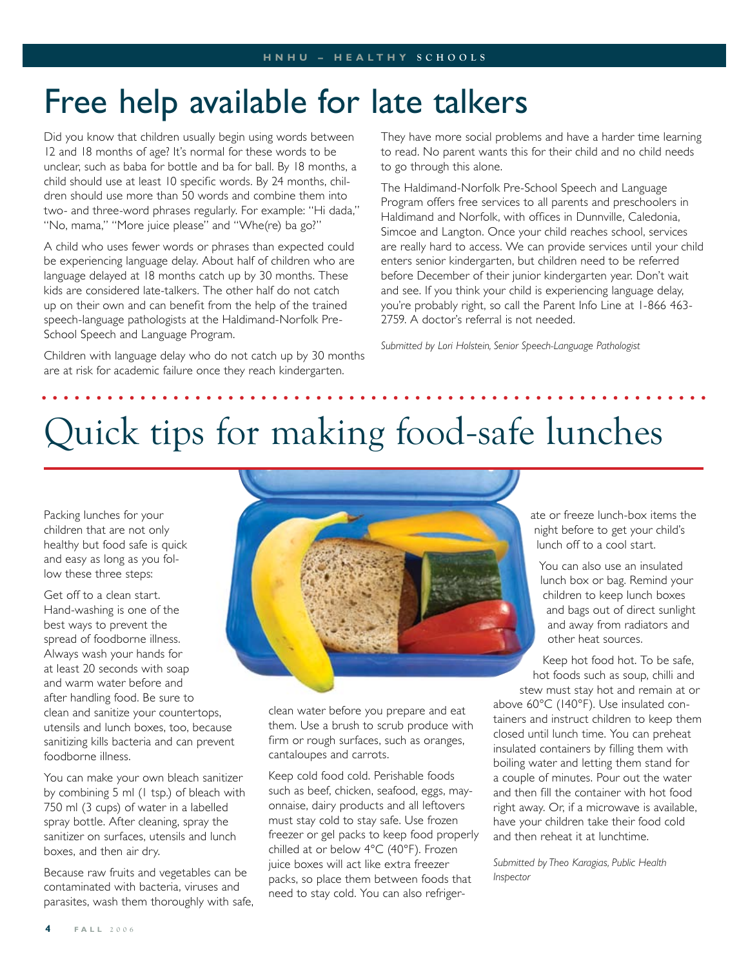# Free help available for late talkers

Did you know that children usually begin using words between 12 and 18 months of age? It's normal for these words to be unclear, such as baba for bottle and ba for ball. By 18 months, a child should use at least 10 specific words. By 24 months, children should use more than 50 words and combine them into two- and three-word phrases regularly. For example: "Hi dada," "No, mama," "More juice please" and "Whe(re) ba go?"

A child who uses fewer words or phrases than expected could be experiencing language delay. About half of children who are language delayed at 18 months catch up by 30 months. These kids are considered late-talkers. The other half do not catch up on their own and can benefit from the help of the trained speech-language pathologists at the Haldimand-Norfolk Pre-School Speech and Language Program.

Children with language delay who do not catch up by 30 months are at risk for academic failure once they reach kindergarten.

They have more social problems and have a harder time learning to read. No parent wants this for their child and no child needs to go through this alone.

The Haldimand-Norfolk Pre-School Speech and Language Program offers free services to all parents and preschoolers in Haldimand and Norfolk, with offices in Dunnville, Caledonia, Simcoe and Langton. Once your child reaches school, services are really hard to access. We can provide services until your child enters senior kindergarten, but children need to be referred before December of their junior kindergarten year. Don't wait and see. If you think your child is experiencing language delay, you're probably right, so call the Parent Info Line at 1-866 463- 2759. A doctor's referral is not needed.

*Submitted by Lori Holstein, Senior Speech-Language Pathologist* 

# Quick tips for making food-safe lunches

Packing lunches for your children that are not only healthy but food safe is quick and easy as long as you follow these three steps:

Get off to a clean start. Hand-washing is one of the best ways to prevent the spread of foodborne illness. Always wash your hands for at least 20 seconds with soap and warm water before and after handling food. Be sure to clean and sanitize your countertops, utensils and lunch boxes, too, because sanitizing kills bacteria and can prevent foodborne illness.

You can make your own bleach sanitizer by combining 5 ml (1 tsp.) of bleach with 750 ml (3 cups) of water in a labelled spray bottle. After cleaning, spray the sanitizer on surfaces, utensils and lunch boxes, and then air dry.

Because raw fruits and vegetables can be contaminated with bacteria, viruses and parasites, wash them thoroughly with safe,



clean water before you prepare and eat them. Use a brush to scrub produce with firm or rough surfaces, such as oranges, cantaloupes and carrots.

Keep cold food cold. Perishable foods such as beef, chicken, seafood, eggs, mayonnaise, dairy products and all leftovers must stay cold to stay safe. Use frozen freezer or gel packs to keep food properly chilled at or below 4°C (40°F). Frozen juice boxes will act like extra freezer packs, so place them between foods that need to stay cold. You can also refrigerate or freeze lunch-box items the night before to get your child's lunch off to a cool start.

You can also use an insulated lunch box or bag. Remind your children to keep lunch boxes and bags out of direct sunlight and away from radiators and other heat sources.

Keep hot food hot. To be safe, hot foods such as soup, chilli and stew must stay hot and remain at or

above 60°C (140°F). Use insulated containers and instruct children to keep them closed until lunch time. You can preheat insulated containers by filling them with boiling water and letting them stand for a couple of minutes. Pour out the water and then fill the container with hot food right away. Or, if a microwave is available, have your children take their food cold and then reheat it at lunchtime.

*Submitted by Theo Karagias, Public Health Inspector*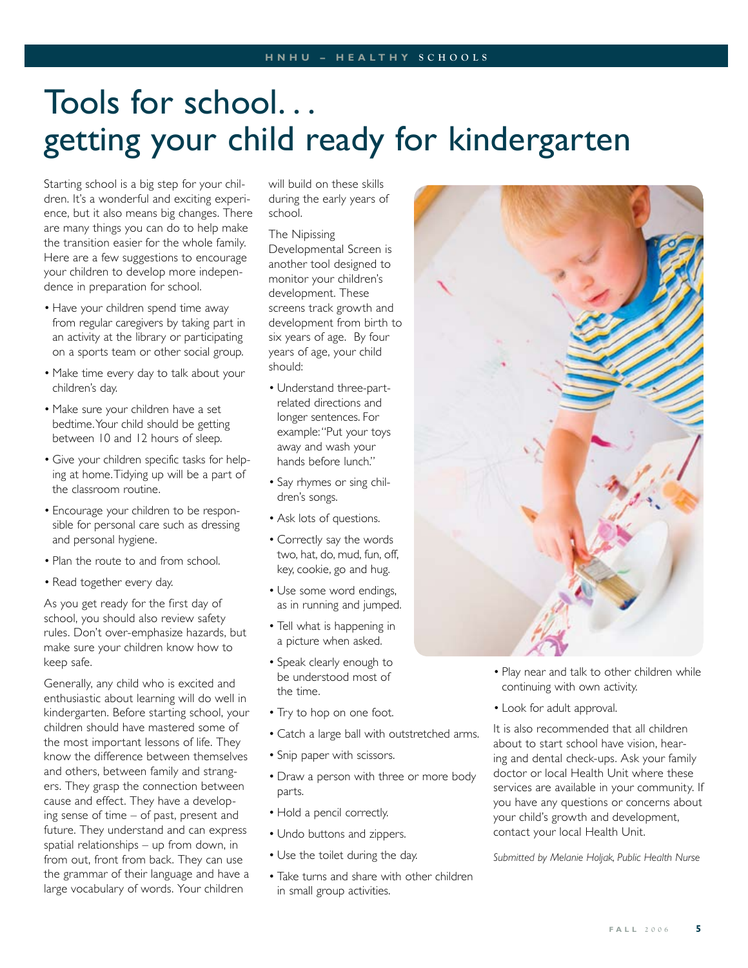# Tools for school. . . getting your child ready for kindergarten

Starting school is a big step for your children. It's a wonderful and exciting experience, but it also means big changes. There are many things you can do to help make the transition easier for the whole family. Here are a few suggestions to encourage your children to develop more independence in preparation for school.

- Have your children spend time away from regular caregivers by taking part in an activity at the library or participating on a sports team or other social group.
- Make time every day to talk about your children's day.
- Make sure your children have a set bedtime. Your child should be getting between 10 and 12 hours of sleep.
- Give your children specific tasks for help-• ing at home. Tidying up will be a part of the classroom routine.
- Encourage your children to be respon-• sible for personal care such as dressing and personal hygiene.
- Plan the route to and from school.
- Read together every day.

As you get ready for the first day of school, you should also review safety rules. Don't over-emphasize hazards, but make sure your children know how to keep safe.

Generally, any child who is excited and enthusiastic about learning will do well in kindergarten. Before starting school, your children should have mastered some of the most important lessons of life. They know the difference between themselves and others, between family and strangers. They grasp the connection between cause and effect. They have a developing sense of time – of past, present and future. They understand and can express spatial relationships – up from down, in from out, front from back. They can use the grammar of their language and have a large vocabulary of words. Your children

will build on these skills during the early years of school.

### The Nipissing

Developmental Screen is another tool designed to monitor your children's development. These screens track growth and development from birth to six years of age. By four years of age, your child should:

- Understand three-partrelated directions and longer sentences. For example: "Put your toys away and wash your hands before lunch."
- Say rhymes or sing children's songs.
- Ask lots of questions. •
- Correctly say the words two, hat, do, mud, fun, off, key, cookie, go and hug.
- Use some word endings, as in running and jumped.
- Tell what is happening in a picture when asked.
- Speak clearly enough to be understood most of the time.
- Try to hop on one foot.
- Catch a large ball with outstretched arms. •
- Snip paper with scissors.
- Draw a person with three or more body parts.
- Hold a pencil correctly.
- Undo buttons and zippers.
- Use the toilet during the day.
- Take turns and share with other children in small group activities.



- Play near and talk to other children while continuing with own activity.
- Look for adult approval.

It is also recommended that all children about to start school have vision, hearing and dental check-ups. Ask your family doctor or local Health Unit where these services are available in your community. If you have any questions or concerns about your child's growth and development, contact your local Health Unit.

*Submitted by Melanie Holjak, Public Health Nurse*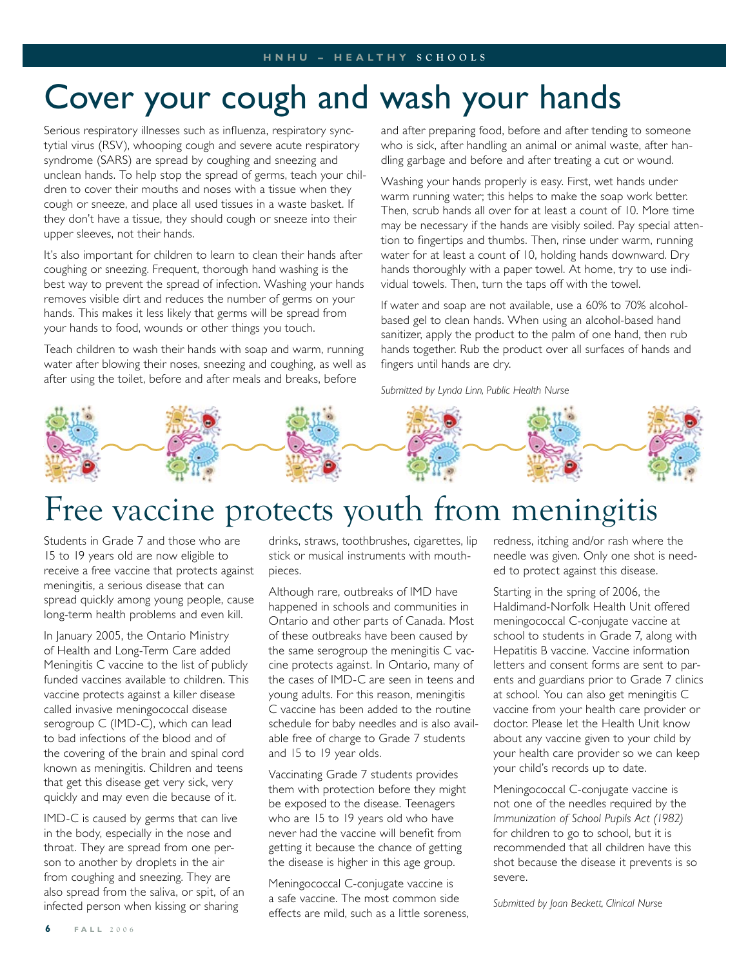# Cover your cough and wash your hands

Serious respiratory illnesses such as influenza, respiratory synctytial virus (RSV), whooping cough and severe acute respiratory syndrome (SARS) are spread by coughing and sneezing and unclean hands. To help stop the spread of germs, teach your children to cover their mouths and noses with a tissue when they cough or sneeze, and place all used tissues in a waste basket. If they don't have a tissue, they should cough or sneeze into their upper sleeves, not their hands.

It's also important for children to learn to clean their hands after coughing or sneezing. Frequent, thorough hand washing is the best way to prevent the spread of infection. Washing your hands removes visible dirt and reduces the number of germs on your hands. This makes it less likely that germs will be spread from your hands to food, wounds or other things you touch.

Teach children to wash their hands with soap and warm, running water after blowing their noses, sneezing and coughing, as well as after using the toilet, before and after meals and breaks, before

and after preparing food, before and after tending to someone who is sick, after handling an animal or animal waste, after handling garbage and before and after treating a cut or wound.

Washing your hands properly is easy. First, wet hands under warm running water; this helps to make the soap work better. Then, scrub hands all over for at least a count of 10. More time may be necessary if the hands are visibly soiled. Pay special attention to fingertips and thumbs. Then, rinse under warm, running water for at least a count of 10, holding hands downward. Dry hands thoroughly with a paper towel. At home, try to use individual towels. Then, turn the taps off with the towel.

If water and soap are not available, use a 60% to 70% alcoholbased gel to clean hands. When using an alcohol-based hand sanitizer, apply the product to the palm of one hand, then rub hands together. Rub the product over all surfaces of hands and fingers until hands are dry.

*Submitted by Lynda Linn, Public Health Nurse*



# Free vaccine protects youth from meningitis

Students in Grade 7 and those who are 15 to 19 years old are now eligible to receive a free vaccine that protects against meningitis, a serious disease that can spread quickly among young people, cause long-term health problems and even kill.

In January 2005, the Ontario Ministry of Health and Long-Term Care added Meningitis C vaccine to the list of publicly funded vaccines available to children. This vaccine protects against a killer disease called invasive meningococcal disease serogroup C (IMD-C), which can lead to bad infections of the blood and of the covering of the brain and spinal cord known as meningitis. Children and teens that get this disease get very sick, very quickly and may even die because of it.

IMD-C is caused by germs that can live in the body, especially in the nose and throat. They are spread from one person to another by droplets in the air from coughing and sneezing. They are also spread from the saliva, or spit, of an infected person when kissing or sharing

drinks, straws, toothbrushes, cigarettes, lip stick or musical instruments with mouthpieces.

Although rare, outbreaks of IMD have happened in schools and communities in Ontario and other parts of Canada. Most of these outbreaks have been caused by the same serogroup the meningitis C vaccine protects against. In Ontario, many of the cases of IMD-C are seen in teens and young adults. For this reason, meningitis C vaccine has been added to the routine schedule for baby needles and is also available free of charge to Grade 7 students and 15 to 19 year olds.

Vaccinating Grade 7 students provides them with protection before they might be exposed to the disease. Teenagers who are 15 to 19 years old who have never had the vaccine will benefit from getting it because the chance of getting the disease is higher in this age group.

Meningococcal C-conjugate vaccine is a safe vaccine. The most common side effects are mild, such as a little soreness, redness, itching and/or rash where the needle was given. Only one shot is needed to protect against this disease.

Starting in the spring of 2006, the Haldimand-Norfolk Health Unit offered meningococcal C-conjugate vaccine at school to students in Grade 7, along with Hepatitis B vaccine. Vaccine information letters and consent forms are sent to parents and guardians prior to Grade 7 clinics at school. You can also get meningitis C vaccine from your health care provider or doctor. Please let the Health Unit know about any vaccine given to your child by your health care provider so we can keep your child's records up to date.

Meningococcal C-conjugate vaccine is not one of the needles required by the *Immunization of School Pupils Act (1982)* for children to go to school, but it is recommended that all children have this shot because the disease it prevents is so severe.

*Submitted by Joan Beckett, Clinical Nurse*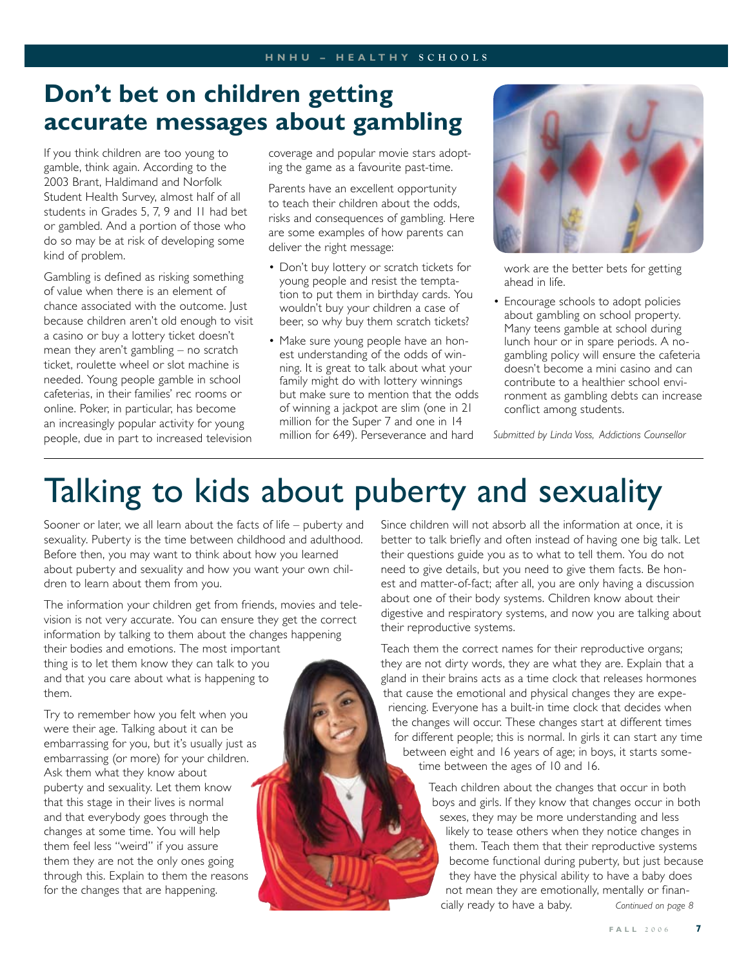# **Don't bet on children getting accurate messages about gambling**

If you think children are too young to gamble, think again. According to the 2003 Brant, Haldimand and Norfolk Student Health Survey, almost half of all students in Grades 5, 7, 9 and 11 had bet or gambled. And a portion of those who do so may be at risk of developing some kind of problem.

Gambling is defined as risking something of value when there is an element of chance associated with the outcome. Just because children aren't old enough to visit a casino or buy a lottery ticket doesn't mean they aren't gambling – no scratch ticket, roulette wheel or slot machine is needed. Young people gamble in school cafeterias, in their families' rec rooms or online. Poker, in particular, has become an increasingly popular activity for young people, due in part to increased television

coverage and popular movie stars adopting the game as a favourite past-time.

Parents have an excellent opportunity to teach their children about the odds, risks and consequences of gambling. Here are some examples of how parents can deliver the right message:

- Don't buy lottery or scratch tickets for young people and resist the temptation to put them in birthday cards. You wouldn't buy your children a case of beer, so why buy them scratch tickets?
- Make sure young people have an honest understanding of the odds of winning. It is great to talk about what your family might do with lottery winnings but make sure to mention that the odds of winning a jackpot are slim (one in 21 million for the Super 7 and one in 14 million for 649). Perseverance and hard



work are the better bets for getting ahead in life.

• Encourage schools to adopt policies about gambling on school property. Many teens gamble at school during lunch hour or in spare periods. A nogambling policy will ensure the cafeteria doesn't become a mini casino and can contribute to a healthier school environment as gambling debts can increase conflict among students.

*Submitted by Linda Voss, Addictions Counsellor*

# Talking to kids about puberty and sexuality

Sooner or later, we all learn about the facts of life – puberty and sexuality. Puberty is the time between childhood and adulthood. Before then, you may want to think about how you learned about puberty and sexuality and how you want your own children to learn about them from you.

The information your children get from friends, movies and television is not very accurate. You can ensure they get the correct information by talking to them about the changes happening their bodies and emotions. The most important thing is to let them know they can talk to you and that you care about what is happening to them.

Try to remember how you felt when you were their age. Talking about it can be embarrassing for you, but it's usually just as embarrassing (or more) for your children. Ask them what they know about puberty and sexuality. Let them know that this stage in their lives is normal and that everybody goes through the changes at some time. You will help them feel less "weird" if you assure them they are not the only ones going through this. Explain to them the reasons for the changes that are happening.

Since children will not absorb all the information at once, it is better to talk briefly and often instead of having one big talk. Let their questions guide you as to what to tell them. You do not need to give details, but you need to give them facts. Be honest and matter-of-fact; after all, you are only having a discussion about one of their body systems. Children know about their digestive and respiratory systems, and now you are talking about their reproductive systems.

Teach them the correct names for their reproductive organs; they are not dirty words, they are what they are. Explain that a gland in their brains acts as a time clock that releases hormones that cause the emotional and physical changes they are experiencing. Everyone has a built-in time clock that decides when the changes will occur. These changes start at different times for different people; this is normal. In girls it can start any time between eight and 16 years of age; in boys, it starts sometime between the ages of 10 and 16.

> Teach children about the changes that occur in both boys and girls. If they know that changes occur in both sexes, they may be more understanding and less likely to tease others when they notice changes in them. Teach them that their reproductive systems become functional during puberty, but just because they have the physical ability to have a baby does not mean they are emotionally, mentally or financially ready to have a baby. *Continued on page 8*

> > **F A L L 2 0 0 6**